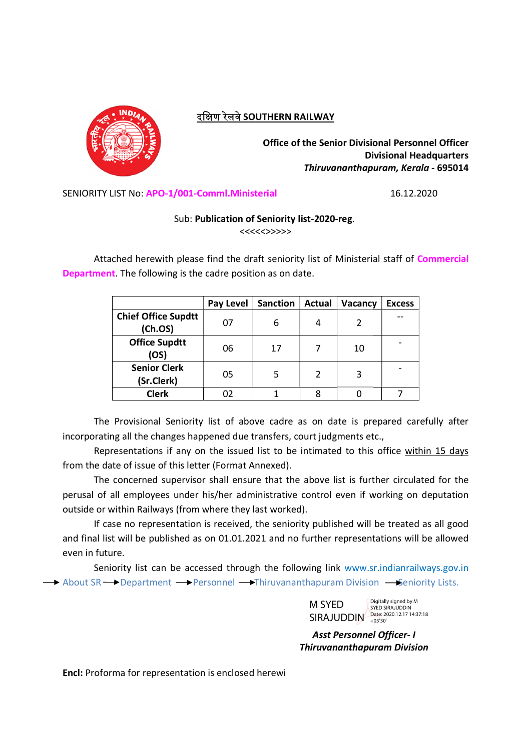

# दक्षिण रेलवे SOUTHERN RAILWAY

Office of the Senior Divisional Personnel Officer Divisional Headquarters Divisional Headquarters Thiruvananthapuram, Kerala Thiruvananthapuram, Kerala - 695014

SENIORITY LIST No: APO-1/001-Comml.Ministerial

#### Sub: Publication of Seniority list-2020-reg.

Attached herewith please find the draft seniority list of Ministerial staff of Commercial Attached herewith please find the draft seniority lis<br>Department. The following is the cadre position as on date.

| LIST No: APO-1/001-Comml.Ministerial<br>16.12.2020<br>Sub: Publication of Seniority list-2020-reg.<br><<<<<>>>><br>iched herewith please find the draft seniority list of Ministerial staff of Commercial<br>it. The following is the cadre position as on date.<br><b>Pay Level</b><br><b>Sanction</b><br><b>Actual</b><br>Vacancy<br><b>Excess</b><br>07<br>6<br>$\overline{2}$<br>4<br>(Ch.OS)<br><b>Office Supdtt</b><br>06<br>17<br>10<br>7<br>(OS)<br><b>Senior Clerk</b><br>5<br>05<br>$\overline{2}$<br>3<br>(Sr.Clerk)<br><b>Clerk</b><br>$\overline{7}$<br>02<br>$\mathbf{1}$<br>8<br>$\mathbf 0$<br>Provisional Seniority list of above cadre as on date is prepared carefully after<br>ng all the changes happened due transfers, court judgments etc.,<br>resentations if any on the issued list to be intimated to this office within 15 days<br>ate of issue of this letter (Format Annexed).<br>concerned supervisor shall ensure that the above list is further circulated for the<br>all employees under his/her administrative control even if working on deputation<br>within Railways (from where they last worked).<br>ise no representation is received, the seniority published will be treated as all good<br>it will be published as on 01.01.2021 and no further representations will be allowed<br>iority list can be accessed through the following link www.sr.indianrailways.gov.in<br>$\rightarrow$ Department $\rightarrow$ Personnel $\rightarrow$ Thiruvananthapuram Division $\rightarrow$ Seniority Lists.<br>Digitally signed by M |                            |  |        |  | <b>Office of the Senior Divisional Personnel Officer</b><br><b>Divisional Headquarters</b><br>Thiruvananthapuram, Kerala - 695014 |  |
|--------------------------------------------------------------------------------------------------------------------------------------------------------------------------------------------------------------------------------------------------------------------------------------------------------------------------------------------------------------------------------------------------------------------------------------------------------------------------------------------------------------------------------------------------------------------------------------------------------------------------------------------------------------------------------------------------------------------------------------------------------------------------------------------------------------------------------------------------------------------------------------------------------------------------------------------------------------------------------------------------------------------------------------------------------------------------------------------------------------------------------------------------------------------------------------------------------------------------------------------------------------------------------------------------------------------------------------------------------------------------------------------------------------------------------------------------------------------------------------------------------------------------------------------------------------------------|----------------------------|--|--------|--|-----------------------------------------------------------------------------------------------------------------------------------|--|
|                                                                                                                                                                                                                                                                                                                                                                                                                                                                                                                                                                                                                                                                                                                                                                                                                                                                                                                                                                                                                                                                                                                                                                                                                                                                                                                                                                                                                                                                                                                                                                          |                            |  |        |  |                                                                                                                                   |  |
|                                                                                                                                                                                                                                                                                                                                                                                                                                                                                                                                                                                                                                                                                                                                                                                                                                                                                                                                                                                                                                                                                                                                                                                                                                                                                                                                                                                                                                                                                                                                                                          |                            |  |        |  |                                                                                                                                   |  |
|                                                                                                                                                                                                                                                                                                                                                                                                                                                                                                                                                                                                                                                                                                                                                                                                                                                                                                                                                                                                                                                                                                                                                                                                                                                                                                                                                                                                                                                                                                                                                                          |                            |  |        |  |                                                                                                                                   |  |
|                                                                                                                                                                                                                                                                                                                                                                                                                                                                                                                                                                                                                                                                                                                                                                                                                                                                                                                                                                                                                                                                                                                                                                                                                                                                                                                                                                                                                                                                                                                                                                          |                            |  |        |  |                                                                                                                                   |  |
|                                                                                                                                                                                                                                                                                                                                                                                                                                                                                                                                                                                                                                                                                                                                                                                                                                                                                                                                                                                                                                                                                                                                                                                                                                                                                                                                                                                                                                                                                                                                                                          |                            |  |        |  |                                                                                                                                   |  |
|                                                                                                                                                                                                                                                                                                                                                                                                                                                                                                                                                                                                                                                                                                                                                                                                                                                                                                                                                                                                                                                                                                                                                                                                                                                                                                                                                                                                                                                                                                                                                                          |                            |  |        |  |                                                                                                                                   |  |
|                                                                                                                                                                                                                                                                                                                                                                                                                                                                                                                                                                                                                                                                                                                                                                                                                                                                                                                                                                                                                                                                                                                                                                                                                                                                                                                                                                                                                                                                                                                                                                          | <b>Chief Office Supdtt</b> |  |        |  |                                                                                                                                   |  |
|                                                                                                                                                                                                                                                                                                                                                                                                                                                                                                                                                                                                                                                                                                                                                                                                                                                                                                                                                                                                                                                                                                                                                                                                                                                                                                                                                                                                                                                                                                                                                                          |                            |  |        |  |                                                                                                                                   |  |
|                                                                                                                                                                                                                                                                                                                                                                                                                                                                                                                                                                                                                                                                                                                                                                                                                                                                                                                                                                                                                                                                                                                                                                                                                                                                                                                                                                                                                                                                                                                                                                          |                            |  |        |  |                                                                                                                                   |  |
|                                                                                                                                                                                                                                                                                                                                                                                                                                                                                                                                                                                                                                                                                                                                                                                                                                                                                                                                                                                                                                                                                                                                                                                                                                                                                                                                                                                                                                                                                                                                                                          |                            |  |        |  |                                                                                                                                   |  |
|                                                                                                                                                                                                                                                                                                                                                                                                                                                                                                                                                                                                                                                                                                                                                                                                                                                                                                                                                                                                                                                                                                                                                                                                                                                                                                                                                                                                                                                                                                                                                                          | ure.                       |  |        |  |                                                                                                                                   |  |
| <b>SYED SIRAJUDDIN</b><br>Date: 2020.12.17 14:37:18<br><b>SIRAJUDDIN</b><br>$+05'30'$                                                                                                                                                                                                                                                                                                                                                                                                                                                                                                                                                                                                                                                                                                                                                                                                                                                                                                                                                                                                                                                                                                                                                                                                                                                                                                                                                                                                                                                                                    |                            |  | M SYED |  |                                                                                                                                   |  |
| <b>Asst Personnel Officer- I</b>                                                                                                                                                                                                                                                                                                                                                                                                                                                                                                                                                                                                                                                                                                                                                                                                                                                                                                                                                                                                                                                                                                                                                                                                                                                                                                                                                                                                                                                                                                                                         |                            |  |        |  |                                                                                                                                   |  |
| <b>Thiruvananthapuram Division</b>                                                                                                                                                                                                                                                                                                                                                                                                                                                                                                                                                                                                                                                                                                                                                                                                                                                                                                                                                                                                                                                                                                                                                                                                                                                                                                                                                                                                                                                                                                                                       |                            |  |        |  |                                                                                                                                   |  |
| ma for representation is enclosed herewi                                                                                                                                                                                                                                                                                                                                                                                                                                                                                                                                                                                                                                                                                                                                                                                                                                                                                                                                                                                                                                                                                                                                                                                                                                                                                                                                                                                                                                                                                                                                 |                            |  |        |  |                                                                                                                                   |  |

The Provisional Seniority list of above cadre as on date is prepared carefully after incorporating all the changes happened due transfers, court judgments etc.,

Representations if any on the issued list to be intimated to this office within 15 days from the date of issue of this letter (Format Annexed).

The concerned supervisor shall ensure that the above list is further circulated for the The concerned supervisor shall ensure that the above list is further circulated for the perusal of all employees under his/her administrative control even if working on deputation outside or within Railways (from where they last worked). concerned supervisor shall ensure that the above list is further circulated<br>all employees under his/her administrative control even if working on dep<br>within Railways (from where they last worked).<br>see no representation is perusal of all employees under his/her administrative control even if working on deputation

If case no representation is received, the seniority published will be treated as all good and final list will be published as on 01.01.2021 and no further representations will be allowed even in future.

Seniority list can be accessed through the following link www.sr Seniority list can be accessed through the following link www.sr.indianrailways.gov.in<br>About SR <del>Department - Personnel - Thiruvananthapuram</del> Division - Geniority Lists.

Asst Personnel Officer Personnel Officer- I Thiruvananthapuram Division Thiruvananthapuram Division

Encl: Proforma for representation is enclosed herewi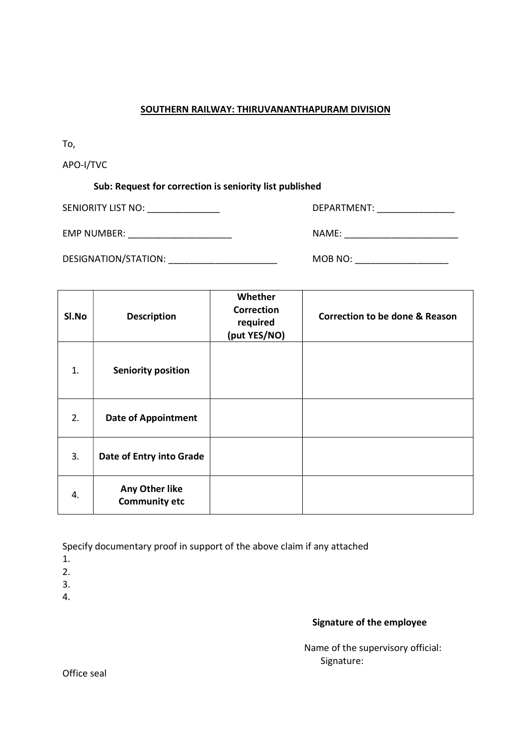#### SOUTHERN RAILWAY: THIRUVANANTHAPURAM DIVISION

To,

APO-I/TVC

## Sub: Request for correction is seniority list published

SENIORITY LIST NO: \_\_\_\_\_\_\_\_\_\_\_\_\_\_ DEPARTMENT: \_\_\_\_\_\_\_\_\_\_\_\_\_\_\_

EMP NUMBER: \_\_\_\_\_\_\_\_\_\_\_\_\_\_\_\_\_\_\_\_ NAME: \_\_\_\_\_\_\_\_\_\_\_\_\_\_\_\_\_\_\_\_\_\_

DESIGNATION/STATION: WE MORE NOT MUSIC MORE NOT A MORE NOT A MORE NOT A MORE NOT A MORE OF A MORE OF A MORE OF A MORE OF A MORE OF A MORE OF A MORE OF A MORE OF A MORE OF A MORE OF A MORE OF A MORE OF A MORE OF A MORE OF A

| SI.No | <b>Description</b>                     | Whether<br><b>Correction</b><br>required<br>(put YES/NO) | <b>Correction to be done &amp; Reason</b> |
|-------|----------------------------------------|----------------------------------------------------------|-------------------------------------------|
| 1.    | <b>Seniority position</b>              |                                                          |                                           |
| 2.    | <b>Date of Appointment</b>             |                                                          |                                           |
| 3.    | Date of Entry into Grade               |                                                          |                                           |
| 4.    | Any Other like<br><b>Community etc</b> |                                                          |                                           |

Specify documentary proof in support of the above claim if any attached

1.

2.

3.

4.

## Signature of the employee

 Name of the supervisory official: Signature:

Office seal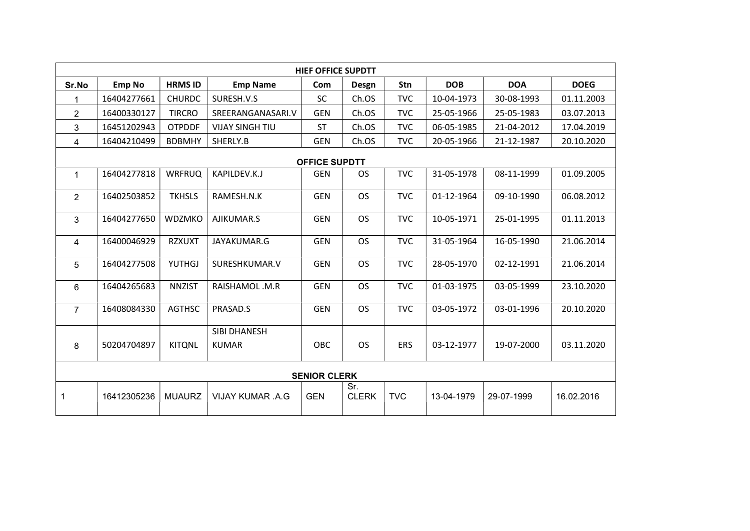| <b>HIEF OFFICE SUPDTT</b> |               |                |                              |            |                     |            |            |            |             |  |
|---------------------------|---------------|----------------|------------------------------|------------|---------------------|------------|------------|------------|-------------|--|
| Sr.No                     | <b>Emp No</b> | <b>HRMS ID</b> | <b>Emp Name</b>              | Com        | Desgn               | Stn        | <b>DOB</b> | <b>DOA</b> | <b>DOEG</b> |  |
|                           | 16404277661   | <b>CHURDC</b>  | SURESH.V.S                   | SC         | Ch.OS               | <b>TVC</b> | 10-04-1973 | 30-08-1993 | 01.11.2003  |  |
| 2                         | 16400330127   | <b>TIRCRO</b>  | SREERANGANASARI.V            | <b>GEN</b> | Ch.OS               | <b>TVC</b> | 25-05-1966 | 25-05-1983 | 03.07.2013  |  |
| 3                         | 16451202943   | <b>OTPDDF</b>  | <b>VIJAY SINGH TIU</b>       | <b>ST</b>  | Ch.OS               | <b>TVC</b> | 06-05-1985 | 21-04-2012 | 17.04.2019  |  |
| 4                         | 16404210499   | <b>BDBMHY</b>  | SHERLY.B                     | <b>GEN</b> | Ch.OS               | <b>TVC</b> | 20-05-1966 | 21-12-1987 | 20.10.2020  |  |
| <b>OFFICE SUPDTT</b>      |               |                |                              |            |                     |            |            |            |             |  |
| $\mathbf{1}$              | 16404277818   | <b>WRFRUQ</b>  | KAPILDEV.K.J                 | <b>GEN</b> | <b>OS</b>           | <b>TVC</b> | 31-05-1978 | 08-11-1999 | 01.09.2005  |  |
| 2                         | 16402503852   | <b>TKHSLS</b>  | RAMESH.N.K                   | <b>GEN</b> | <b>OS</b>           | <b>TVC</b> | 01-12-1964 | 09-10-1990 | 06.08.2012  |  |
| 3                         | 16404277650   | WDZMKO         | AJIKUMAR.S                   | <b>GEN</b> | <b>OS</b>           | <b>TVC</b> | 10-05-1971 | 25-01-1995 | 01.11.2013  |  |
| $\overline{4}$            | 16400046929   | <b>RZXUXT</b>  | JAYAKUMAR.G                  | <b>GEN</b> | <b>OS</b>           | <b>TVC</b> | 31-05-1964 | 16-05-1990 | 21.06.2014  |  |
| 5                         | 16404277508   | <b>YUTHGJ</b>  | SURESHKUMAR.V                | <b>GEN</b> | <b>OS</b>           | <b>TVC</b> | 28-05-1970 | 02-12-1991 | 21.06.2014  |  |
| 6                         | 16404265683   | <b>NNZIST</b>  | RAISHAMOL.M.R                | <b>GEN</b> | <b>OS</b>           | <b>TVC</b> | 01-03-1975 | 03-05-1999 | 23.10.2020  |  |
| $\overline{7}$            | 16408084330   | <b>AGTHSC</b>  | PRASAD.S                     | <b>GEN</b> | <b>OS</b>           | <b>TVC</b> | 03-05-1972 | 03-01-1996 | 20.10.2020  |  |
| 8                         | 50204704897   | <b>KITQNL</b>  | SIBI DHANESH<br><b>KUMAR</b> | OBC        | <b>OS</b>           | <b>ERS</b> | 03-12-1977 | 19-07-2000 | 03.11.2020  |  |
| <b>SENIOR CLERK</b>       |               |                |                              |            |                     |            |            |            |             |  |
| $\mathbf{1}$              | 16412305236   | <b>MUAURZ</b>  | <b>VIJAY KUMAR .A.G</b>      | <b>GEN</b> | Sr.<br><b>CLERK</b> | <b>TVC</b> | 13-04-1979 | 29-07-1999 | 16.02.2016  |  |